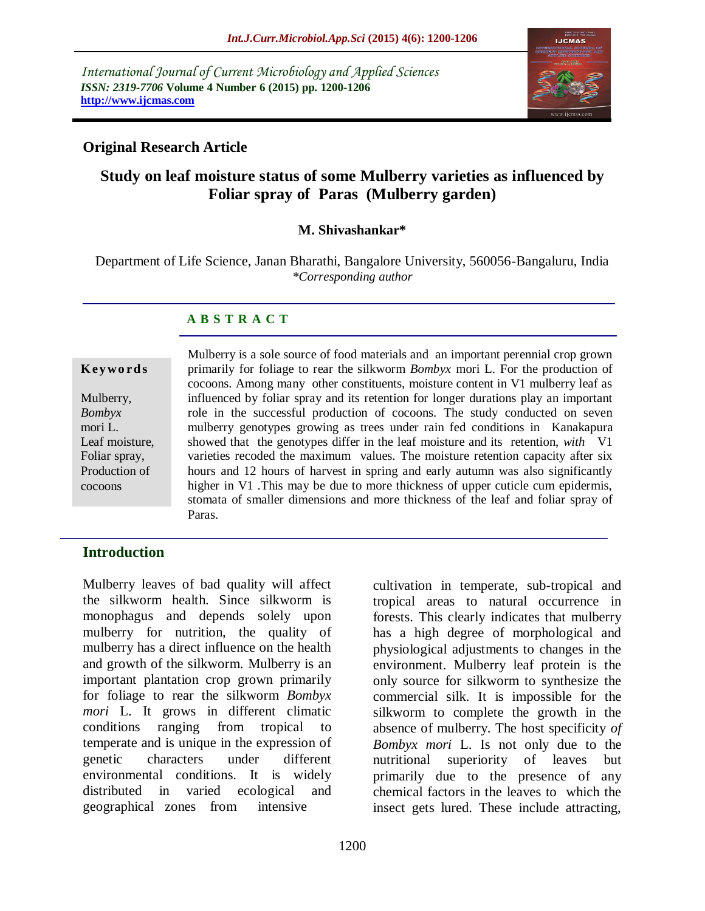*International Journal of Current Microbiology and Applied Sciences ISSN: 2319-7706* **Volume 4 Number 6 (2015) pp. 1200-1206 http://www.ijcmas.com** 



## **Original Research Article**

## **Study on leaf moisture status of some Mulberry varieties as influenced by Foliar spray of Paras (Mulberry garden)**

### **M. Shivashankar\***

Department of Life Science, Janan Bharathi, Bangalore University, 560056-Bangaluru, India *\*Corresponding author*

## **A B S T R A C T**

#### **K ey w o rd s**

Mulberry, *Bombyx*  mori L. Leaf moisture, Foliar spray, Production of cocoons

Mulberry is a sole source of food materials and an important perennial crop grown primarily for foliage to rear the silkworm *Bombyx* mori L. For the production of cocoons. Among many other constituents, moisture content in V1 mulberry leaf as influenced by foliar spray and its retention for longer durations play an important role in the successful production of cocoons. The study conducted on seven mulberry genotypes growing as trees under rain fed conditions in Kanakapura showed that the genotypes differ in the leaf moisture and its retention, *with* V1 varieties recoded the maximum values. The moisture retention capacity after six hours and 12 hours of harvest in spring and early autumn was also significantly higher in V1. This may be due to more thickness of upper cuticle cum epidermis, stomata of smaller dimensions and more thickness of the leaf and foliar spray of Paras.

## **Introduction**

Mulberry leaves of bad quality will affect the silkworm health. Since silkworm is monophagus and depends solely upon mulberry for nutrition, the quality of mulberry has a direct influence on the health and growth of the silkworm. Mulberry is an important plantation crop grown primarily for foliage to rear the silkworm *Bombyx mori* L. It grows in different climatic conditions ranging from tropical to temperate and is unique in the expression of genetic characters under different environmental conditions. It is widely distributed in varied ecological and geographical zones from intensive

cultivation in temperate, sub-tropical and tropical areas to natural occurrence in forests. This clearly indicates that mulberry has a high degree of morphological and physiological adjustments to changes in the environment. Mulberry leaf protein is the only source for silkworm to synthesize the commercial silk. It is impossible for the silkworm to complete the growth in the absence of mulberry. The host specificity *of Bombyx mori* L. Is not only due to the nutritional superiority of leaves but primarily due to the presence of any chemical factors in the leaves to which the insect gets lured. These include attracting,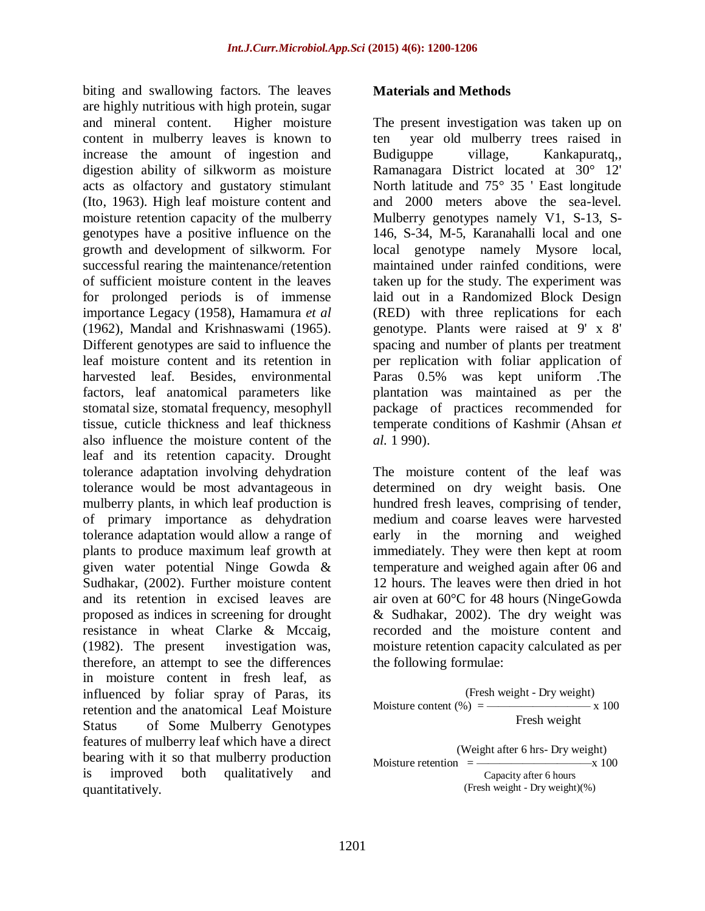biting and swallowing factors. The leaves are highly nutritious with high protein, sugar and mineral content. Higher moisture content in mulberry leaves is known to increase the amount of ingestion and digestion ability of silkworm as moisture acts as olfactory and gustatory stimulant (Ito, 1963). High leaf moisture content and moisture retention capacity of the mulberry genotypes have a positive influence on the growth and development of silkworm. For successful rearing the maintenance/retention of sufficient moisture content in the leaves for prolonged periods is of immense importance Legacy (1958), Hamamura *et al*  (1962), Mandal and Krishnaswami (1965). Different genotypes are said to influence the leaf moisture content and its retention in harvested leaf. Besides, environmental factors, leaf anatomical parameters like stomatal size, stomatal frequency, mesophyll tissue, cuticle thickness and leaf thickness also influence the moisture content of the leaf and its retention capacity. Drought tolerance adaptation involving dehydration tolerance would be most advantageous in mulberry plants, in which leaf production is of primary importance as dehydration tolerance adaptation would allow a range of plants to produce maximum leaf growth at given water potential Ninge Gowda & Sudhakar, (2002). Further moisture content and its retention in excised leaves are proposed as indices in screening for drought resistance in wheat Clarke & Mccaig, (1982). The present investigation was, therefore, an attempt to see the differences in moisture content in fresh leaf, as influenced by foliar spray of Paras, its retention and the anatomical Leaf Moisture Status of Some Mulberry Genotypes features of mulberry leaf which have a direct bearing with it so that mulberry production is improved both qualitatively and quantitatively.

#### **Materials and Methods**

The present investigation was taken up on ten year old mulberry trees raised in Budiguppe village, Kankapuratq, Ramanagara District located at 30° 12' North latitude and 75° 35 ' East longitude and 2000 meters above the sea-level. Mulberry genotypes namely V1, S-13, S-146, S-34, M-5, Karanahalli local and one local genotype namely Mysore local, maintained under rainfed conditions, were taken up for the study. The experiment was laid out in a Randomized Block Design (RED) with three replications for each genotype. Plants were raised at 9' x 8' spacing and number of plants per treatment per replication with foliar application of Paras 0.5% was kept uniform .The plantation was maintained as per the package of practices recommended for temperate conditions of Kashmir (Ahsan *et al.* 1 990).

The moisture content of the leaf was determined on dry weight basis. One hundred fresh leaves, comprising of tender, medium and coarse leaves were harvested early in the morning and weighed immediately. They were then kept at room temperature and weighed again after 06 and 12 hours. The leaves were then dried in hot air oven at 60°C for 48 hours (NingeGowda & Sudhakar, 2002). The dry weight was recorded and the moisture content and moisture retention capacity calculated as per the following formulae:

(Fresh weight - Dry weight)  
\nMoisture content (%) = 
$$
\frac{\text{Fresh weight}}{\text{Fresh weight}}
$$
\n  
\n(Weight after 6 hrs - Dry weight)  
\nMoisture retention = 
$$
\frac{\text{Capacity after 6 hours}}{\text{Capacity after 6 hours}}
$$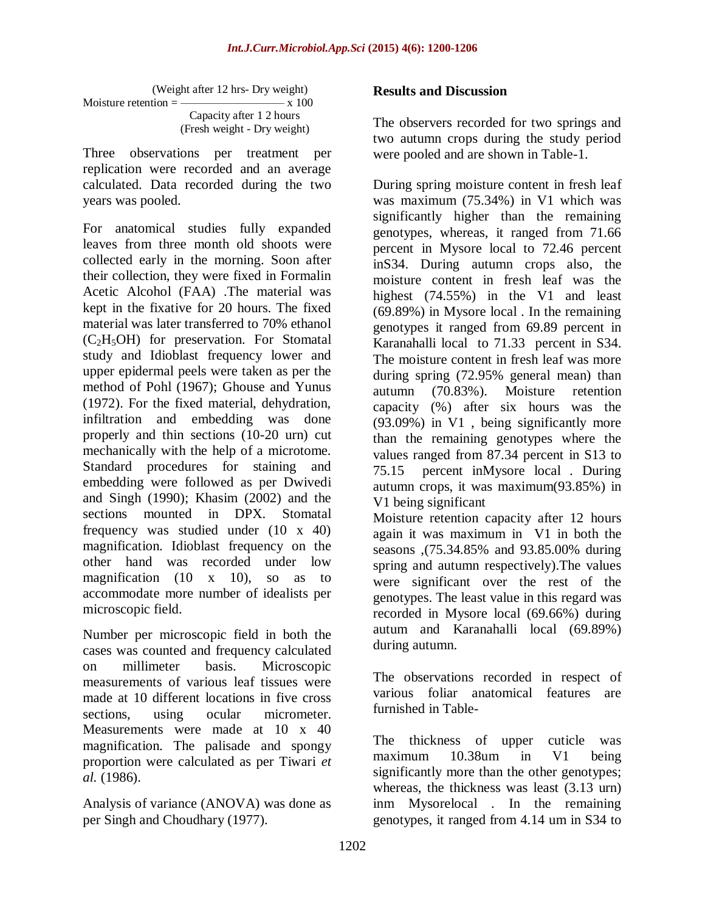|                                           | (Weight after 12 hrs-Dry weight) |
|-------------------------------------------|----------------------------------|
| Moisture retention $=\frac{1}{100}$ x 100 |                                  |
|                                           | Capacity after 1 2 hours         |
|                                           | (Fresh weight - Dry weight)      |

Three observations per treatment per replication were recorded and an average calculated. Data recorded during the two years was pooled.

For anatomical studies fully expanded leaves from three month old shoots were collected early in the morning. Soon after their collection, they were fixed in Formalin Acetic Alcohol (FAA) .The material was kept in the fixative for 20 hours. The fixed material was later transferred to 70% ethanol  $(C<sub>2</sub>H<sub>5</sub>OH)$  for preservation. For Stomatal study and Idioblast frequency lower and upper epidermal peels were taken as per the method of Pohl (1967); Ghouse and Yunus (1972). For the fixed material, dehydration, infiltration and embedding was done properly and thin sections (10-20 urn) cut mechanically with the help of a microtome. Standard procedures for staining and embedding were followed as per Dwivedi and Singh (1990); Khasim (2002) and the sections mounted in DPX. Stomatal frequency was studied under (10 x 40) magnification. Idioblast frequency on the other hand was recorded under low magnification  $(10 \t x \t 10)$ , so as to accommodate more number of idealists per microscopic field.

Number per microscopic field in both the cases was counted and frequency calculated on millimeter basis. Microscopic measurements of various leaf tissues were made at 10 different locations in five cross sections, using ocular micrometer. Measurements were made at 10 x 40 magnification. The palisade and spongy proportion were calculated as per Tiwari *et al.* (1986).

Analysis of variance (ANOVA) was done as per Singh and Choudhary (1977).

## **Results and Discussion**

The observers recorded for two springs and two autumn crops during the study period were pooled and are shown in Table-1.

During spring moisture content in fresh leaf was maximum (75.34%) in V1 which was significantly higher than the remaining genotypes, whereas, it ranged from 71.66 percent in Mysore local to 72.46 percent inS34. During autumn crops also, the moisture content in fresh leaf was the highest (74.55%) in the V1 and least (69.89%) in Mysore local . In the remaining genotypes it ranged from 69.89 percent in Karanahalli local to 71.33 percent in S34. The moisture content in fresh leaf was more during spring (72.95% general mean) than autumn (70.83%). Moisture retention capacity (%) after six hours was the (93.09%) in V1 , being significantly more than the remaining genotypes where the values ranged from 87.34 percent in S13 to 75.15 percent inMysore local . During autumn crops, it was maximum(93.85%) in V1 being significant

Moisture retention capacity after 12 hours again it was maximum in V1 in both the seasons ,(75.34.85% and 93.85.00% during spring and autumn respectively).The values were significant over the rest of the genotypes. The least value in this regard was recorded in Mysore local (69.66%) during autum and Karanahalli local (69.89%) during autumn.

The observations recorded in respect of various foliar anatomical features are furnished in Table-

The thickness of upper cuticle was maximum 10.38um in V1 being significantly more than the other genotypes; whereas, the thickness was least (3.13 urn) inm Mysorelocal . In the remaining genotypes, it ranged from 4.14 um in S34 to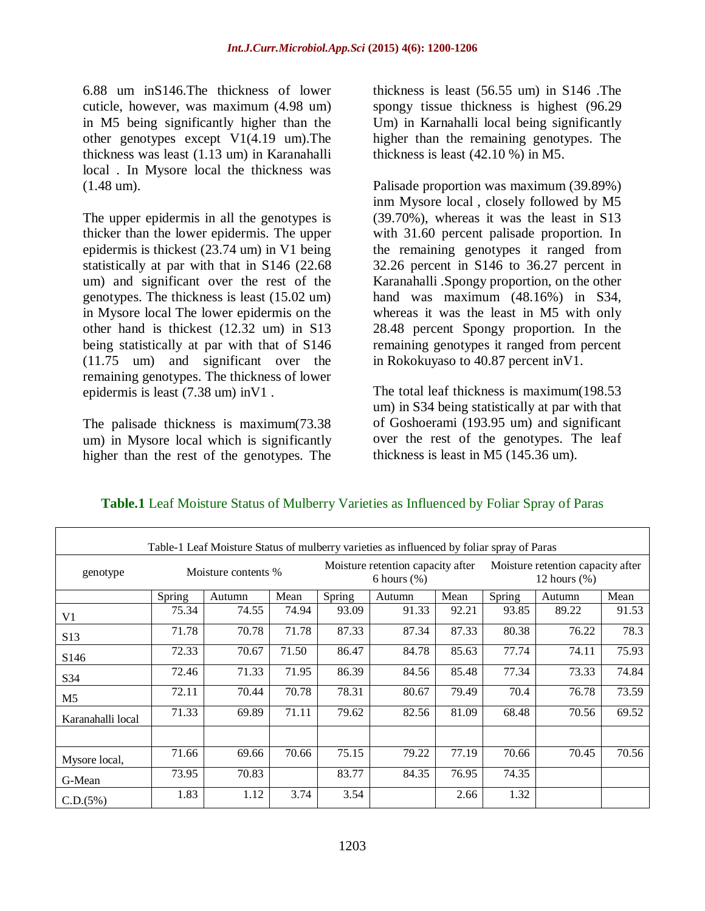6.88 um inS146.The thickness of lower cuticle, however, was maximum (4.98 um) in M5 being significantly higher than the other genotypes except V1(4.19 um).The thickness was least (1.13 um) in Karanahalli local . In Mysore local the thickness was (1.48 um).

The upper epidermis in all the genotypes is thicker than the lower epidermis. The upper epidermis is thickest (23.74 um) in V1 being statistically at par with that in S146 (22.68 um) and significant over the rest of the genotypes. The thickness is least (15.02 um) in Mysore local The lower epidermis on the other hand is thickest (12.32 um) in S13 being statistically at par with that of S146 (11.75 um) and significant over the remaining genotypes. The thickness of lower epidermis is least (7.38 um) inV1 .

The palisade thickness is maximum(73.38 um) in Mysore local which is significantly higher than the rest of the genotypes. The

thickness is least (56.55 um) in S146 .The spongy tissue thickness is highest (96.29 Um) in Karnahalli local being significantly higher than the remaining genotypes. The thickness is least (42.10 %) in M5.

Palisade proportion was maximum (39.89%) inm Mysore local , closely followed by M5 (39.70%), whereas it was the least in S13 with 31.60 percent palisade proportion. In the remaining genotypes it ranged from 32.26 percent in S146 to 36.27 percent in Karanahalli .Spongy proportion, on the other hand was maximum (48.16%) in S34, whereas it was the least in M5 with only 28.48 percent Spongy proportion. In the remaining genotypes it ranged from percent in Rokokuyaso to 40.87 percent inV1.

The total leaf thickness is maximum(198.53 um) in S34 being statistically at par with that of Goshoerami (193.95 um) and significant over the rest of the genotypes. The leaf thickness is least in M5 (145.36 um).

| Table-1 Leaf Moisture Status of mulberry varieties as influenced by foliar spray of Paras |                     |        |       |                                                     |        |       |                                                      |        |       |
|-------------------------------------------------------------------------------------------|---------------------|--------|-------|-----------------------------------------------------|--------|-------|------------------------------------------------------|--------|-------|
| genotype                                                                                  | Moisture contents % |        |       | Moisture retention capacity after<br>6 hours $(\%)$ |        |       | Moisture retention capacity after<br>12 hours $(\%)$ |        |       |
|                                                                                           | Spring              | Autumn | Mean  | Spring                                              | Autumn | Mean  | Spring                                               | Autumn | Mean  |
| V1                                                                                        | 75.34               | 74.55  | 74.94 | 93.09                                               | 91.33  | 92.21 | 93.85                                                | 89.22  | 91.53 |
| S13                                                                                       | 71.78               | 70.78  | 71.78 | 87.33                                               | 87.34  | 87.33 | 80.38                                                | 76.22  | 78.3  |
| S <sub>146</sub>                                                                          | 72.33               | 70.67  | 71.50 | 86.47                                               | 84.78  | 85.63 | 77.74                                                | 74.11  | 75.93 |
| S34                                                                                       | 72.46               | 71.33  | 71.95 | 86.39                                               | 84.56  | 85.48 | 77.34                                                | 73.33  | 74.84 |
| M5                                                                                        | 72.11               | 70.44  | 70.78 | 78.31                                               | 80.67  | 79.49 | 70.4                                                 | 76.78  | 73.59 |
| Karanahalli local                                                                         | 71.33               | 69.89  | 71.11 | 79.62                                               | 82.56  | 81.09 | 68.48                                                | 70.56  | 69.52 |
|                                                                                           |                     |        |       |                                                     |        |       |                                                      |        |       |
| Mysore local,                                                                             | 71.66               | 69.66  | 70.66 | 75.15                                               | 79.22  | 77.19 | 70.66                                                | 70.45  | 70.56 |
| G-Mean                                                                                    | 73.95               | 70.83  |       | 83.77                                               | 84.35  | 76.95 | 74.35                                                |        |       |
| C.D.(5%)                                                                                  | 1.83                | 1.12   | 3.74  | 3.54                                                |        | 2.66  | 1.32                                                 |        |       |

## **Table.1** Leaf Moisture Status of Mulberry Varieties as Influenced by Foliar Spray of Paras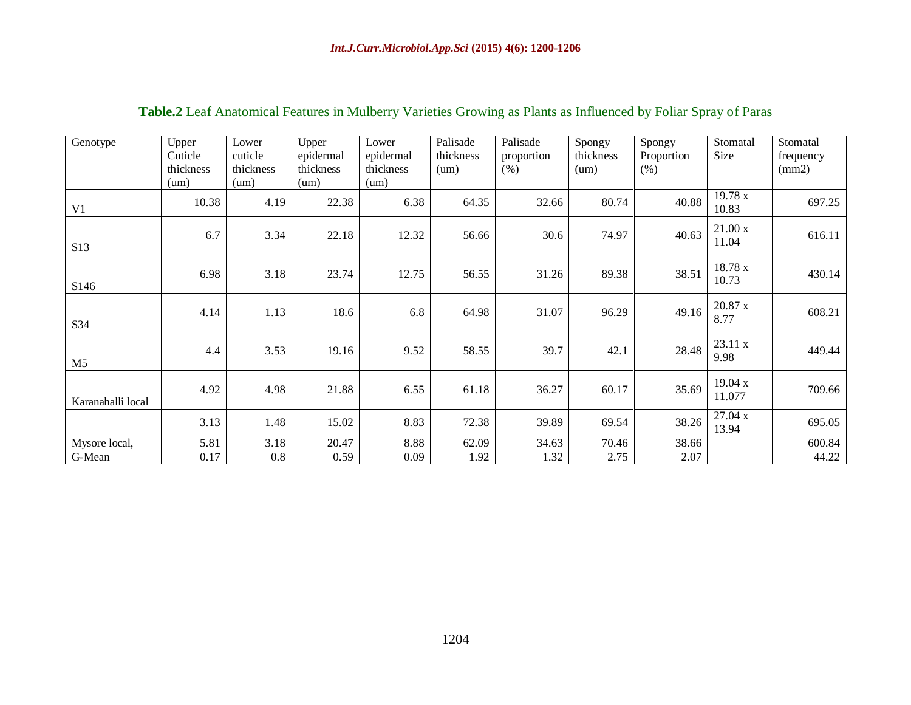| Genotype          | Upper     | Lower     | Upper     | Lower     | Palisade  | Palisade   | Spongy    | Spongy     | Stomatal          | Stomatal  |
|-------------------|-----------|-----------|-----------|-----------|-----------|------------|-----------|------------|-------------------|-----------|
|                   | Cuticle   | cuticle   | epidermal | epidermal | thickness | proportion | thickness | Proportion | Size              | frequency |
|                   | thickness | thickness | thickness | thickness | (num)     | (% )       | (num)     | (% )       |                   | (mm2)     |
|                   | (num)     | (num)     | (num)     | (num)     |           |            |           |            |                   |           |
| V <sub>1</sub>    | 10.38     | 4.19      | 22.38     | 6.38      | 64.35     | 32.66      | 80.74     | 40.88      | 19.78 x<br>10.83  | 697.25    |
| S <sub>13</sub>   | 6.7       | 3.34      | 22.18     | 12.32     | 56.66     | 30.6       | 74.97     | 40.63      | 21.00x<br>11.04   | 616.11    |
| S <sub>146</sub>  | 6.98      | 3.18      | 23.74     | 12.75     | 56.55     | 31.26      | 89.38     | 38.51      | 18.78 x<br>10.73  | 430.14    |
| S34               | 4.14      | 1.13      | 18.6      | 6.8       | 64.98     | 31.07      | 96.29     | 49.16      | 20.87 x<br>8.77   | 608.21    |
| M <sub>5</sub>    | 4.4       | 3.53      | 19.16     | 9.52      | 58.55     | 39.7       | 42.1      | 28.48      | 23.11 x<br>9.98   | 449.44    |
| Karanahalli local | 4.92      | 4.98      | 21.88     | 6.55      | 61.18     | 36.27      | 60.17     | 35.69      | 19.04 x<br>11.077 | 709.66    |
|                   | 3.13      | 1.48      | 15.02     | 8.83      | 72.38     | 39.89      | 69.54     | 38.26      | 27.04 x<br>13.94  | 695.05    |
| Mysore local,     | 5.81      | 3.18      | 20.47     | 8.88      | 62.09     | 34.63      | 70.46     | 38.66      |                   | 600.84    |
| G-Mean            | 0.17      | 0.8       | 0.59      | 0.09      | 1.92      | 1.32       | 2.75      | 2.07       |                   | 44.22     |

# **Table.2** Leaf Anatomical Features in Mulberry Varieties Growing as Plants as Influenced by Foliar Spray of Paras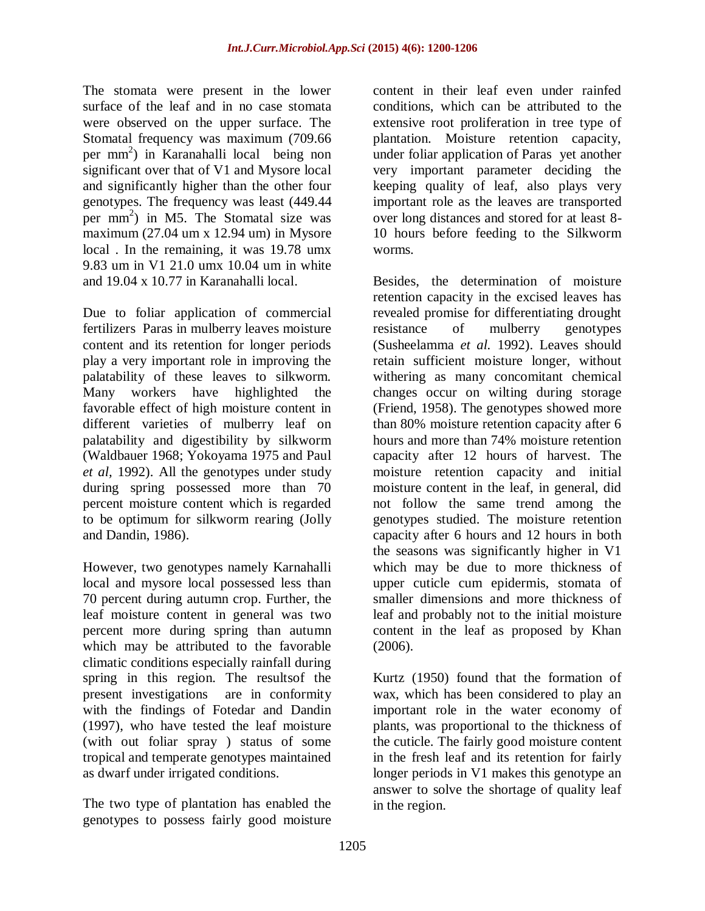The stomata were present in the lower surface of the leaf and in no case stomata were observed on the upper surface. The Stomatal frequency was maximum (709.66 per mm 2 ) in Karanahalli local being non significant over that of V1 and Mysore local and significantly higher than the other four genotypes. The frequency was least (449.44 per mm 2 ) in M5. The Stomatal size was maximum (27.04 um x 12.94 um) in Mysore local . In the remaining, it was 19.78 umx 9.83 um in V1 21.0 umx 10.04 um in white and 19.04 x 10.77 in Karanahalli local.

Due to foliar application of commercial fertilizers Paras in mulberry leaves moisture content and its retention for longer periods play a very important role in improving the palatability of these leaves to silkworm. Many workers have highlighted the favorable effect of high moisture content in different varieties of mulberry leaf on palatability and digestibility by silkworm (Waldbauer 1968; Yokoyama 1975 and Paul *et al,* 1992). All the genotypes under study during spring possessed more than 70 percent moisture content which is regarded to be optimum for silkworm rearing (Jolly and Dandin, 1986).

However, two genotypes namely Karnahalli local and mysore local possessed less than 70 percent during autumn crop. Further, the leaf moisture content in general was two percent more during spring than autumn which may be attributed to the favorable climatic conditions especially rainfall during spring in this region. The resultsof the present investigations are in conformity with the findings of Fotedar and Dandin (1997), who have tested the leaf moisture (with out foliar spray ) status of some tropical and temperate genotypes maintained as dwarf under irrigated conditions.

The two type of plantation has enabled the genotypes to possess fairly good moisture content in their leaf even under rainfed conditions, which can be attributed to the extensive root proliferation in tree type of plantation. Moisture retention capacity, under foliar application of Paras yet another very important parameter deciding the keeping quality of leaf, also plays very important role as the leaves are transported over long distances and stored for at least 8- 10 hours before feeding to the Silkworm worms.

Besides, the determination of moisture retention capacity in the excised leaves has revealed promise for differentiating drought resistance of mulberry genotypes (Susheelamma *et al.* 1992). Leaves should retain sufficient moisture longer, without withering as many concomitant chemical changes occur on wilting during storage (Friend, 1958). The genotypes showed more than 80% moisture retention capacity after 6 hours and more than 74% moisture retention capacity after 12 hours of harvest. The moisture retention capacity and initial moisture content in the leaf, in general, did not follow the same trend among the genotypes studied. The moisture retention capacity after 6 hours and 12 hours in both the seasons was significantly higher in V1 which may be due to more thickness of upper cuticle cum epidermis, stomata of smaller dimensions and more thickness of leaf and probably not to the initial moisture content in the leaf as proposed by Khan (2006).

Kurtz (1950) found that the formation of wax, which has been considered to play an important role in the water economy of plants, was proportional to the thickness of the cuticle. The fairly good moisture content in the fresh leaf and its retention for fairly longer periods in V1 makes this genotype an answer to solve the shortage of quality leaf in the region.